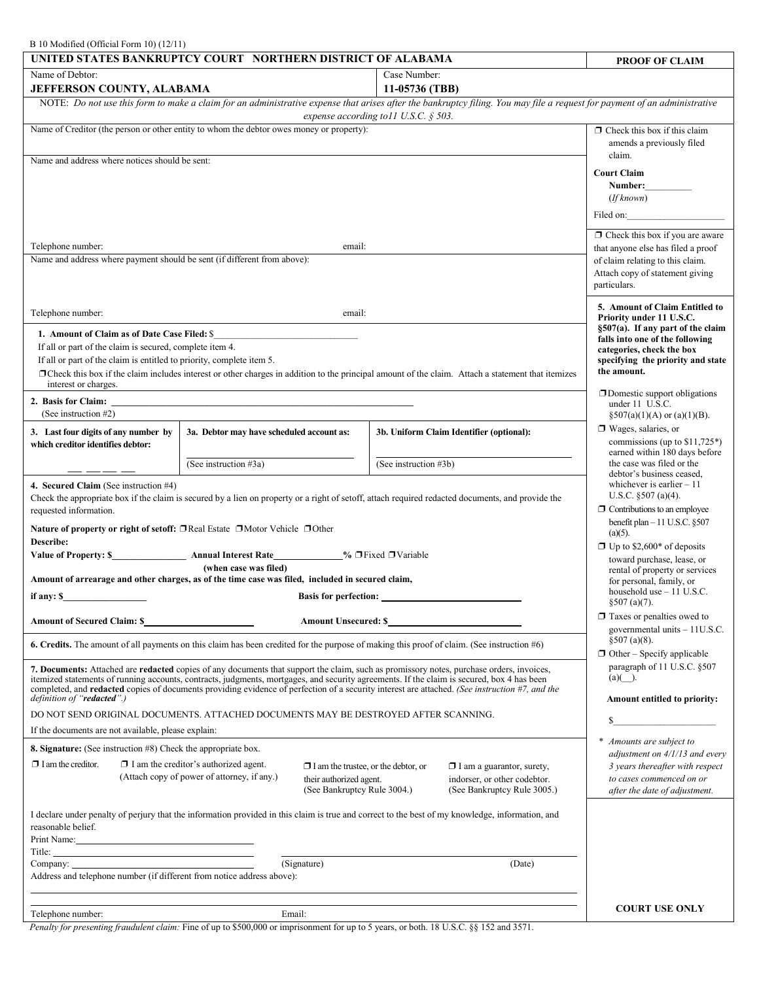# B 10 Modified (Official Form 10) (12/11)

| $D_1 \cup N_2 \cup N_3 \cup N_4 \cup N_5 \cup N_6 \cup N_7 \cup N_8 \cup N_9 \cup N_9 \cup N_1 \cup N_1 \cup N_2 \cup N_3 \cup N_1 \cup N_2 \cup N_3 \cup N_1 \cup N_2 \cup N_3 \cup N_4 \cup N_5 \cup N_6 \cup N_7 \cup N_7 \cup N_8 \cup N_9 \cup N_1 \cup N_1 \cup N_2 \cup N_3 \cup N_1 \cup N_1 \cup N_2 \cup N_3 \cup N_1 \cup N_1 \cup N_2 \cup N_3 \cup N_4 \cup N_5 \cup N_6 \cup N_7 \cup N_7 \cup$<br>UNITED STATES BANKRUPTCY COURT NORTHERN DISTRICT OF ALABAMA |                                           |  |                                          | <b>PROOF OF CLAIM</b>                                                  |  |
|------------------------------------------------------------------------------------------------------------------------------------------------------------------------------------------------------------------------------------------------------------------------------------------------------------------------------------------------------------------------------------------------------------------------------------------------------------------------------|-------------------------------------------|--|------------------------------------------|------------------------------------------------------------------------|--|
| Name of Debtor:                                                                                                                                                                                                                                                                                                                                                                                                                                                              |                                           |  | Case Number:                             |                                                                        |  |
| 11-05736 (TBB)<br><b>JEFFERSON COUNTY, ALABAMA</b>                                                                                                                                                                                                                                                                                                                                                                                                                           |                                           |  |                                          |                                                                        |  |
| NOTE: Do not use this form to make a claim for an administrative expense that arises after the bankruptcy filing. You may file a request for payment of an administrative<br>expense according to 11 U.S.C. $\S$ 503.                                                                                                                                                                                                                                                        |                                           |  |                                          |                                                                        |  |
| Name of Creditor (the person or other entity to whom the debtor owes money or property):                                                                                                                                                                                                                                                                                                                                                                                     |                                           |  |                                          | $\Box$ Check this box if this claim                                    |  |
|                                                                                                                                                                                                                                                                                                                                                                                                                                                                              |                                           |  |                                          | amends a previously filed<br>claim.                                    |  |
| Name and address where notices should be sent:                                                                                                                                                                                                                                                                                                                                                                                                                               |                                           |  |                                          | <b>Court Claim</b>                                                     |  |
|                                                                                                                                                                                                                                                                                                                                                                                                                                                                              |                                           |  |                                          | Number:                                                                |  |
|                                                                                                                                                                                                                                                                                                                                                                                                                                                                              |                                           |  |                                          | (If known)                                                             |  |
|                                                                                                                                                                                                                                                                                                                                                                                                                                                                              |                                           |  |                                          | Filed on:                                                              |  |
| Telephone number:<br>email:                                                                                                                                                                                                                                                                                                                                                                                                                                                  |                                           |  |                                          | $\Box$ Check this box if you are aware                                 |  |
| Name and address where payment should be sent (if different from above):                                                                                                                                                                                                                                                                                                                                                                                                     |                                           |  |                                          | that anyone else has filed a proof<br>of claim relating to this claim. |  |
|                                                                                                                                                                                                                                                                                                                                                                                                                                                                              |                                           |  |                                          | Attach copy of statement giving                                        |  |
|                                                                                                                                                                                                                                                                                                                                                                                                                                                                              |                                           |  |                                          | particulars.                                                           |  |
| Telephone number:<br>email:                                                                                                                                                                                                                                                                                                                                                                                                                                                  |                                           |  |                                          | 5. Amount of Claim Entitled to<br>Priority under 11 U.S.C.             |  |
| 1. Amount of Claim as of Date Case Filed: \$                                                                                                                                                                                                                                                                                                                                                                                                                                 |                                           |  |                                          | §507(a). If any part of the claim                                      |  |
| If all or part of the claim is secured, complete item 4.                                                                                                                                                                                                                                                                                                                                                                                                                     |                                           |  |                                          | falls into one of the following<br>categories, check the box           |  |
| If all or part of the claim is entitled to priority, complete item 5.                                                                                                                                                                                                                                                                                                                                                                                                        |                                           |  |                                          | specifying the priority and state<br>the amount.                       |  |
| □ Check this box if the claim includes interest or other charges in addition to the principal amount of the claim. Attach a statement that itemizes<br>interest or charges.                                                                                                                                                                                                                                                                                                  |                                           |  |                                          |                                                                        |  |
| 2. Basis for Claim:                                                                                                                                                                                                                                                                                                                                                                                                                                                          |                                           |  |                                          | $\Box$ Domestic support obligations<br>under 11 U.S.C.                 |  |
| (See instruction #2)                                                                                                                                                                                                                                                                                                                                                                                                                                                         |                                           |  |                                          | $§507(a)(1)(A)$ or $(a)(1)(B)$ .                                       |  |
| 3. Last four digits of any number by<br>which creditor identifies debtor:                                                                                                                                                                                                                                                                                                                                                                                                    | 3a. Debtor may have scheduled account as: |  | 3b. Uniform Claim Identifier (optional): | $\Box$ Wages, salaries, or<br>commissions (up to $$11,725^*$ )         |  |
|                                                                                                                                                                                                                                                                                                                                                                                                                                                                              | (See instruction #3a)                     |  | (See instruction #3b)                    | earned within 180 days before<br>the case was filed or the             |  |
|                                                                                                                                                                                                                                                                                                                                                                                                                                                                              |                                           |  |                                          | debtor's business ceased,                                              |  |
| 4. Secured Claim (See instruction #4)<br>Check the appropriate box if the claim is secured by a lien on property or a right of setoff, attach required redacted documents, and provide the                                                                                                                                                                                                                                                                                   |                                           |  |                                          | whichever is earlier $-11$<br>U.S.C. $§507$ (a)(4).                    |  |
| requested information.                                                                                                                                                                                                                                                                                                                                                                                                                                                       |                                           |  |                                          | $\Box$ Contributions to an employee                                    |  |
| <b>Nature of property or right of setoff:</b> $\Box$ Real Estate $\Box$ Motor Vehicle $\Box$ Other                                                                                                                                                                                                                                                                                                                                                                           |                                           |  |                                          | benefit plan $-11$ U.S.C. §507<br>$(a)(5)$ .                           |  |
| Describe:                                                                                                                                                                                                                                                                                                                                                                                                                                                                    |                                           |  |                                          | $\Box$ Up to \$2,600* of deposits                                      |  |
| <b>Value of Property: \$</b><br>Annual Interest Rate____________% □ Fixed □ Variable<br>(when case was filed)                                                                                                                                                                                                                                                                                                                                                                |                                           |  |                                          | toward purchase, lease, or<br>rental of property or services           |  |
| Amount of arrearage and other charges, as of the time case was filed, included in secured claim,<br>for personal, family, or                                                                                                                                                                                                                                                                                                                                                 |                                           |  |                                          |                                                                        |  |
| if any: \$<br><b>Basis for perfection:</b>                                                                                                                                                                                                                                                                                                                                                                                                                                   |                                           |  |                                          | household use - 11 U.S.C.<br>§507 (a)(7).                              |  |
| <b>Amount of Secured Claim: \$</b><br><b>Amount Unsecured: \$</b>                                                                                                                                                                                                                                                                                                                                                                                                            |                                           |  |                                          | $\Box$ Taxes or penalties owed to                                      |  |
| 6. Credits. The amount of all payments on this claim has been credited for the purpose of making this proof of claim. (See instruction #6)                                                                                                                                                                                                                                                                                                                                   |                                           |  |                                          | governmental units - 11U.S.C.<br>§507 (a)(8).                          |  |
|                                                                                                                                                                                                                                                                                                                                                                                                                                                                              |                                           |  |                                          | $\Box$ Other - Specify applicable                                      |  |
| 7. Documents: Attached are redacted copies of any documents that support the claim, such as promissory notes, purchase orders, invoices,<br>itemized statements of running accounts, contracts, judgments, mortgages, and security agreements. If the claim is secured, box 4 has been                                                                                                                                                                                       |                                           |  |                                          | paragraph of 11 U.S.C. §507<br>$(a)( )$ .                              |  |
| completed, and <b>redacted</b> copies of documents providing evidence of perfection of a security interest are attached. (See instruction #7, and the<br>definition of "redacted".)<br>Amount entitled to priority:                                                                                                                                                                                                                                                          |                                           |  |                                          |                                                                        |  |
| DO NOT SEND ORIGINAL DOCUMENTS. ATTACHED DOCUMENTS MAY BE DESTROYED AFTER SCANNING.                                                                                                                                                                                                                                                                                                                                                                                          |                                           |  |                                          | <u> 1980 - Jan Barnett, politik e</u><br>S                             |  |
| If the documents are not available, please explain:                                                                                                                                                                                                                                                                                                                                                                                                                          |                                           |  |                                          |                                                                        |  |
| 8. Signature: (See instruction #8) Check the appropriate box.                                                                                                                                                                                                                                                                                                                                                                                                                |                                           |  |                                          | Amounts are subject to<br>$\ast$<br>adjustment on 4/1/13 and every     |  |
| $\Box$ I am the creditor.<br>$\Box$ I am the creditor's authorized agent.<br>$\Box$ I am the trustee, or the debtor, or<br>$\Box$ I am a guarantor, surety,                                                                                                                                                                                                                                                                                                                  |                                           |  |                                          | 3 years thereafter with respect                                        |  |
| (Attach copy of power of attorney, if any.)<br>indorser, or other codebtor.<br>their authorized agent.<br>(See Bankruptcy Rule 3004.)<br>(See Bankruptcy Rule 3005.)                                                                                                                                                                                                                                                                                                         |                                           |  |                                          | to cases commenced on or<br>after the date of adjustment.              |  |
|                                                                                                                                                                                                                                                                                                                                                                                                                                                                              |                                           |  |                                          |                                                                        |  |
| I declare under penalty of perjury that the information provided in this claim is true and correct to the best of my knowledge, information, and<br>reasonable belief.                                                                                                                                                                                                                                                                                                       |                                           |  |                                          |                                                                        |  |
|                                                                                                                                                                                                                                                                                                                                                                                                                                                                              |                                           |  |                                          |                                                                        |  |
| (Signature)<br>Company:<br>(Date)                                                                                                                                                                                                                                                                                                                                                                                                                                            |                                           |  |                                          |                                                                        |  |
| Address and telephone number (if different from notice address above):                                                                                                                                                                                                                                                                                                                                                                                                       |                                           |  |                                          |                                                                        |  |
|                                                                                                                                                                                                                                                                                                                                                                                                                                                                              |                                           |  |                                          |                                                                        |  |
| Telephone number:                                                                                                                                                                                                                                                                                                                                                                                                                                                            | Email:                                    |  |                                          | <b>COURT USE ONLY</b>                                                  |  |

*Penalty for presenting fraudulent claim:* Fine of up to \$500,000 or imprisonment for up to 5 years, or both. 18 U.S.C. §§ 152 and 3571.